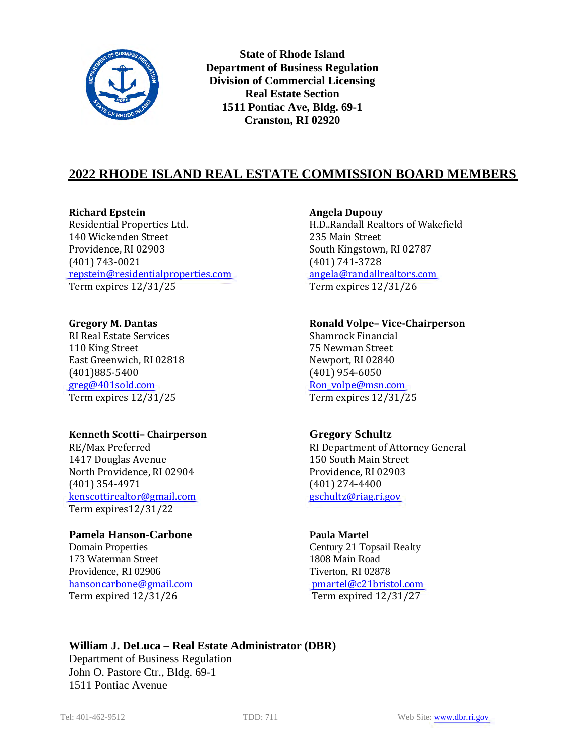

**State of Rhode Island Department of Business Regulation Division of Commercial Licensing Real Estate Section 1511 Pontiac Ave, Bldg. 69-1 Cranston, RI 02920**

# **2022 RHODE ISLAND REAL ESTATE COMMISSION BOARD MEMBERS**

**Richard Epstein Angela Dupouy** Residential Properties Ltd. H.D..Randall Realtors of Wakefield 140 Wickenden Street 235 Main Street Providence, RI 02903 South Kingstown, RI 02787 (401) 743-0021 (401) 741-3728 [repstein@residentialproperties.com](mailto:repstein@residentialproperties.com) [angela@randallrealtors.com](mailto:angela@randallrealtors.com) Term expires 12/31/25 Term expires 12/31/26

RI Real Estate Services Shamrock Financial 110 King Street 75 Newman Street East Greenwich, RI 02818 Newport, RI 02840 (401)885-5400 (401) 954-6050 [greg@401sold.com](mailto:greg@401sold.com) Ron volpe@msn.com Term expires 12/31/25 Term expires 12/31/25

### **Kenneth Scotti– Chairperson Gregory Schultz**

1417 Douglas Avenue 150 South Main Street North Providence, RI 02904 Providence, RI 02903 (401) 354-4971 (401) 274-4400 [kenscottirealtor@gmail.com](mailto:kenscottirealtor@gmail.com) [gschultz@riag.ri.gov](mailto:gschultz@riag.ri.gov) Term expires12/31/22

# **Pamela Hanson-Carbone Paula Martel**

Domain Properties Century 21 Topsail Realty 173 Waterman Street 1808 Main Road Providence, RI 02906 Tiverton, RI 02878 [hansoncarbone@gmail.com](mailto:hansoncarbone@gmail.com) [pmartel@c21bristol.com](mailto:pmartel@c21bristol.com) Term expired 12/31/26 Term expired 12/31/27

### **Gregory M. Dantas Ronald Volpe– Vice-Chairperson**

RE/Max Preferred **RI Department of Attorney General** 

# **William J. DeLuca – Real Estate Administrator (DBR)**

Department of Business Regulation John O. Pastore Ctr., Bldg. 69-1 1511 Pontiac Avenue